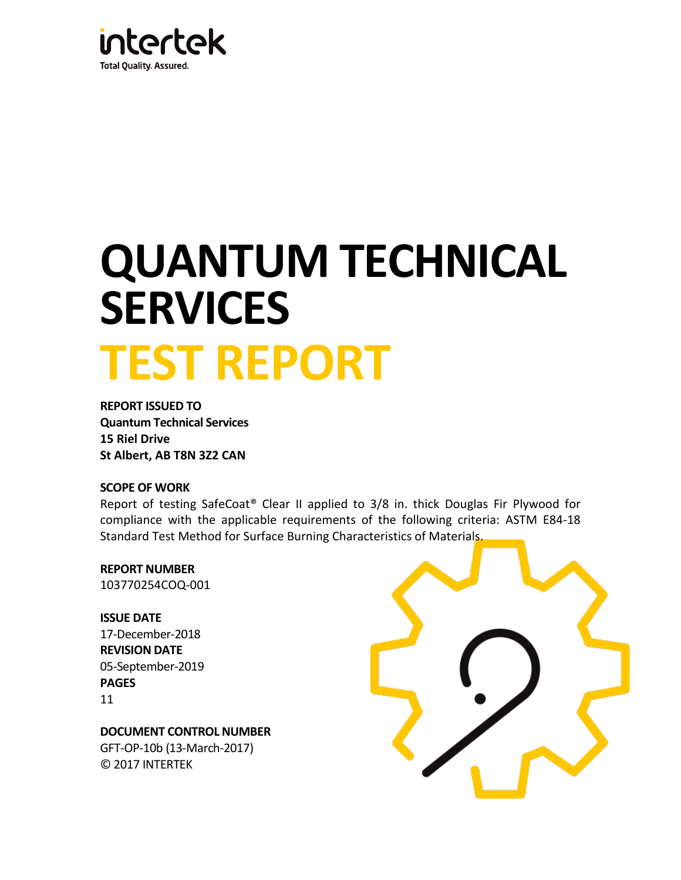

# **QUANTUM TECHNICAL SERVICES TEST REPORT**

**REPORT ISSUED TO Quantum Technical Services 15 Riel Drive St Albert, AB T8N 3Z2 CAN**

#### **SCOPE OF WORK**

Report of testing SafeCoat® Clear II applied to 3/8 in. thick Douglas Fir Plywood for compliance with the applicable requirements of the following criteria: ASTM E84-18 Standard Test Method for Surface Burning Characteristics of Materials.

**REPORT NUMBER** 103770254COQ-001

**ISSUE DATE**  17-December-2018 **REVISION DATE** 05-September-2019 **PAGES** 11

**DOCUMENT CONTROL NUMBER** GFT-OP-10b (13-March-2017) © 2017 INTERTEK

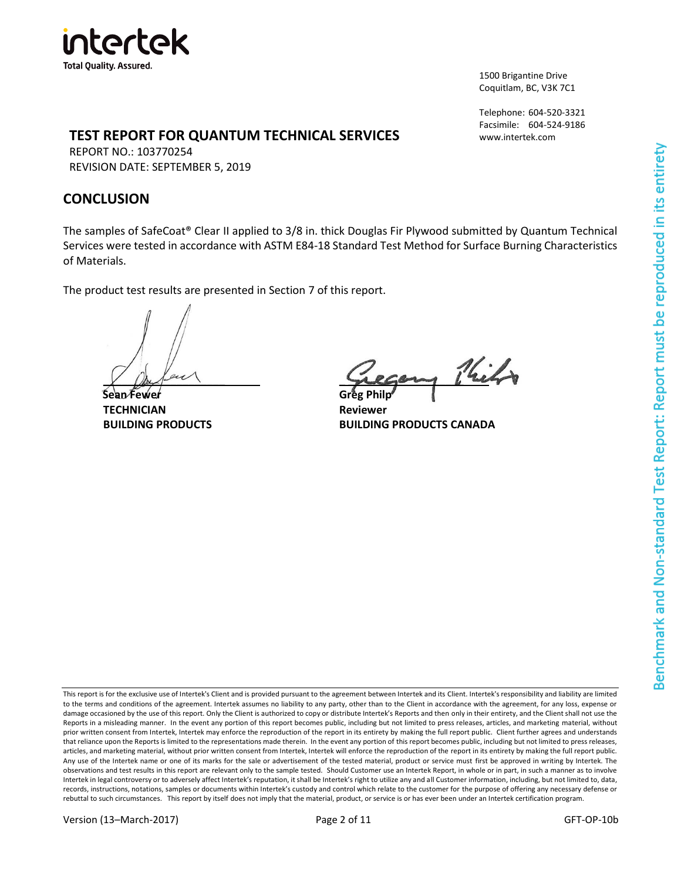

1500 Brigantine Drive Coquitlam, BC, V3K 7C1

Telephone: 604-520-3321 Facsimile: 604-524-9186 www.intertek.com

### **TEST REPORT FOR QUANTUM TECHNICAL SERVICES**

REPORT NO.: 103770254 REVISION DATE: SEPTEMBER 5, 2019

## **CONCLUSION**

The samples of SafeCoat® Clear II applied to 3/8 in. thick Douglas Fir Plywood submitted by Quantum Technical Services were tested in accordance with ASTM E84-18 Standard Test Method for Surface Burning Characteristics of Materials.

The product test results are presented in Section 7 of this report.

**Sean Fewer Greg Philp TECHNICIAN Reviewer**

 $\frac{1}{2}$ 

**BUILDING PRODUCTS BUILDING PRODUCTS CANADA**

This report is for the exclusive use of Intertek's Client and is provided pursuant to the agreement between Intertek and its Client. Intertek's responsibility and liability are limited to the terms and conditions of the agreement. Intertek assumes no liability to any party, other than to the Client in accordance with the agreement, for any loss, expense or damage occasioned by the use of this report. Only the Client is authorized to copy or distribute Intertek's Reports and then only in their entirety, and the Client shall not use the Reports in a misleading manner. In the event any portion of this report becomes public, including but not limited to press releases, articles, and marketing material, without prior written consent from Intertek, Intertek may enforce the reproduction of the report in its entirety by making the full report public. Client further agrees and understands that reliance upon the Reports is limited to the representations made therein. In the event any portion of this report becomes public, including but not limited to press releases, articles, and marketing material, without prior written consent from Intertek, Intertek will enforce the reproduction of the report in its entirety by making the full report public. Any use of the Intertek name or one of its marks for the sale or advertisement of the tested material, product or service must first be approved in writing by Intertek. The observations and test results in this report are relevant only to the sample tested. Should Customer use an Intertek Report, in whole or in part, in such a manner as to involve Intertek in legal controversy or to adversely affect Intertek's reputation, it shall be Intertek's right to utilize any and all Customer information, including, but not limited to, data, records, instructions, notations, samples or documents within Intertek's custody and control which relate to the customer for the purpose of offering any necessary defense or rebuttal to such circumstances. This report by itself does not imply that the material, product, or service is or has ever been under an Intertek certification program.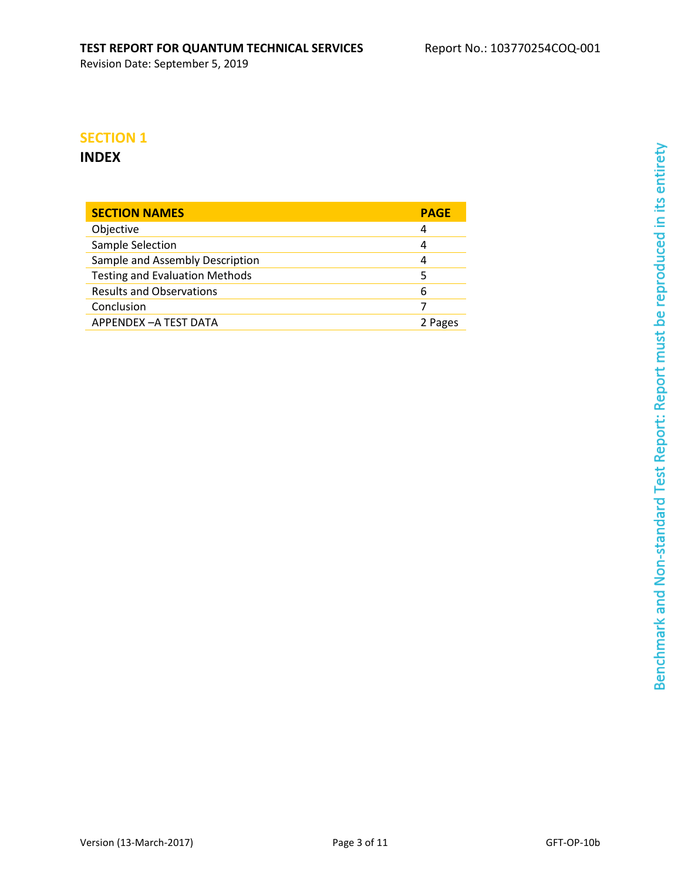## **SECTION 1**

## **INDEX**

| <b>SECTION NAMES</b>                  | <b>PAGE</b> |
|---------------------------------------|-------------|
| Objective                             | 4           |
| Sample Selection                      | 4           |
| Sample and Assembly Description       | 4           |
| <b>Testing and Evaluation Methods</b> | 5           |
| <b>Results and Observations</b>       | 6           |
| Conclusion                            |             |
| APPENDEX - A TEST DATA                | 2 Pages     |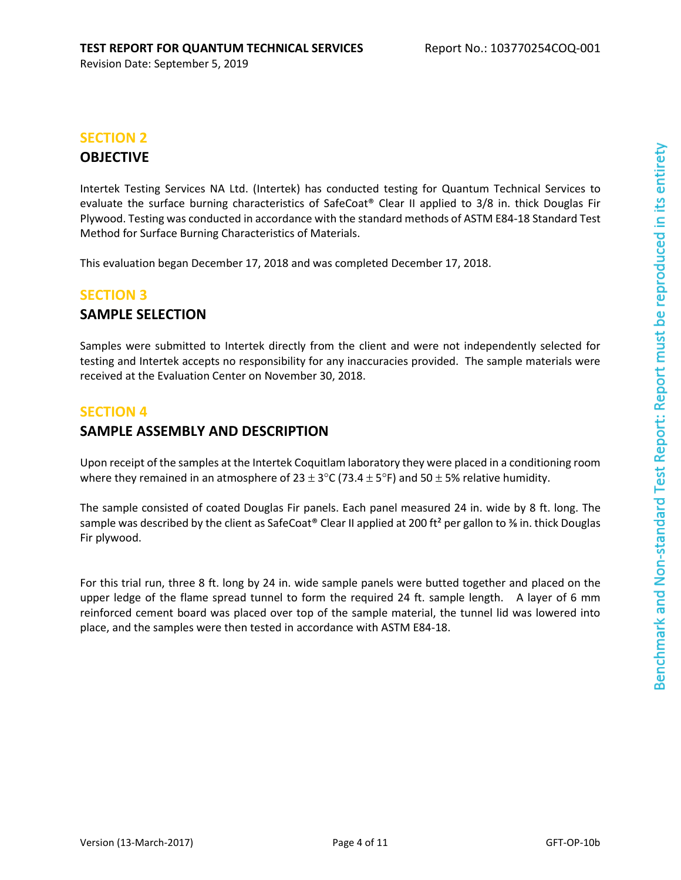# **SECTION 2**

## **OBJECTIVE**

Intertek Testing Services NA Ltd. (Intertek) has conducted testing for Quantum Technical Services to evaluate the surface burning characteristics of SafeCoat® Clear II applied to 3/8 in. thick Douglas Fir Plywood. Testing was conducted in accordance with the standard methods of ASTM E84-18 Standard Test Method for Surface Burning Characteristics of Materials.

This evaluation began December 17, 2018 and was completed December 17, 2018.

### **SECTION 3**

## **SAMPLE SELECTION**

Samples were submitted to Intertek directly from the client and were not independently selected for testing and Intertek accepts no responsibility for any inaccuracies provided. The sample materials were received at the Evaluation Center on November 30, 2018.

## **SECTION 4**

## **SAMPLE ASSEMBLY AND DESCRIPTION**

Upon receipt of the samples at the Intertek Coquitlam laboratory they were placed in a conditioning room where they remained in an atmosphere of 23  $\pm$  3°C (73.4  $\pm$  5°F) and 50  $\pm$  5% relative humidity.

The sample consisted of coated Douglas Fir panels. Each panel measured 24 in. wide by 8 ft. long. The sample was described by the client as SafeCoat® Clear II applied at 200 ft<sup>2</sup> per gallon to % in. thick Douglas Fir plywood.

For this trial run, three 8 ft. long by 24 in. wide sample panels were butted together and placed on the upper ledge of the flame spread tunnel to form the required 24 ft. sample length. A layer of 6 mm reinforced cement board was placed over top of the sample material, the tunnel lid was lowered into place, and the samples were then tested in accordance with ASTM E84-18.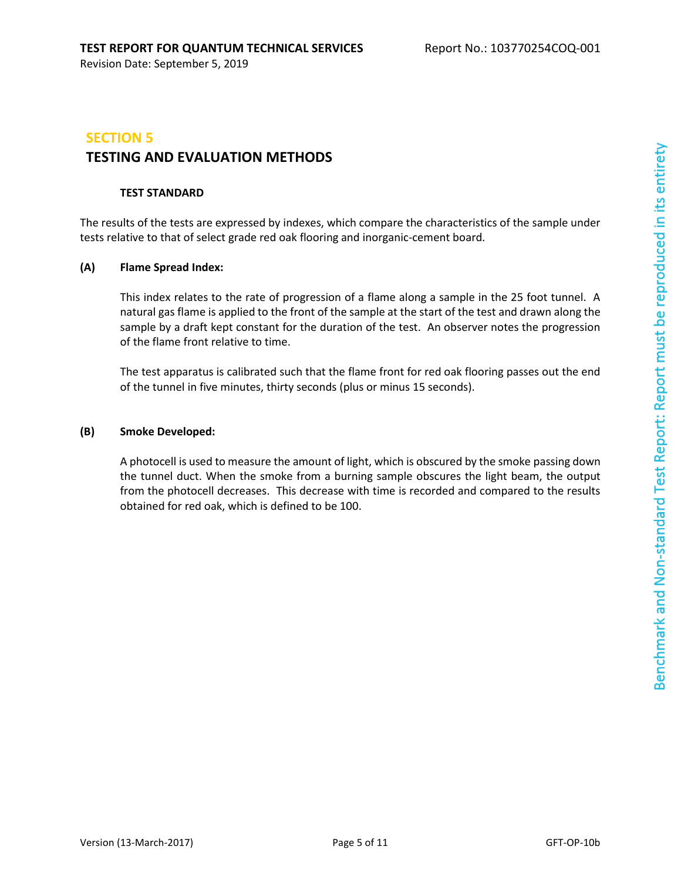# **SECTION 5 TESTING AND EVALUATION METHODS**

#### **TEST STANDARD**

The results of the tests are expressed by indexes, which compare the characteristics of the sample under tests relative to that of select grade red oak flooring and inorganic-cement board.

#### **(A) Flame Spread Index:**

This index relates to the rate of progression of a flame along a sample in the 25 foot tunnel. A natural gas flame is applied to the front of the sample at the start of the test and drawn along the sample by a draft kept constant for the duration of the test. An observer notes the progression of the flame front relative to time.

The test apparatus is calibrated such that the flame front for red oak flooring passes out the end of the tunnel in five minutes, thirty seconds (plus or minus 15 seconds).

#### **(B) Smoke Developed:**

A photocell is used to measure the amount of light, which is obscured by the smoke passing down the tunnel duct. When the smoke from a burning sample obscures the light beam, the output from the photocell decreases. This decrease with time is recorded and compared to the results obtained for red oak, which is defined to be 100.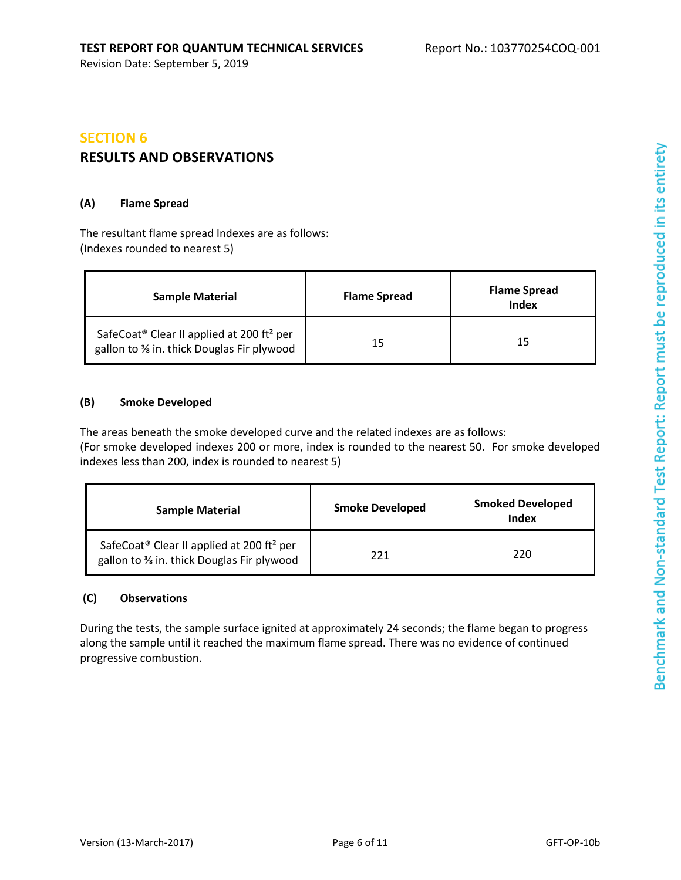## **SECTION 6 RESULTS AND OBSERVATIONS**

#### **(A) Flame Spread**

The resultant flame spread Indexes are as follows: (Indexes rounded to nearest 5)

| <b>Sample Material</b>                                                                                         | <b>Flame Spread</b> | <b>Flame Spread</b><br><b>Index</b> |
|----------------------------------------------------------------------------------------------------------------|---------------------|-------------------------------------|
| SafeCoat <sup>®</sup> Clear II applied at 200 ft <sup>2</sup> per<br>gallon to % in. thick Douglas Fir plywood | 15                  | 15                                  |

#### **(B) Smoke Developed**

The areas beneath the smoke developed curve and the related indexes are as follows: (For smoke developed indexes 200 or more, index is rounded to the nearest 50. For smoke developed indexes less than 200, index is rounded to nearest 5)

| <b>Sample Material</b>                                                                                         | <b>Smoke Developed</b> | <b>Smoked Developed</b><br>Index |
|----------------------------------------------------------------------------------------------------------------|------------------------|----------------------------------|
| SafeCoat <sup>®</sup> Clear II applied at 200 ft <sup>2</sup> per<br>gallon to % in. thick Douglas Fir plywood | 771                    | 220                              |

#### **(C) Observations**

During the tests, the sample surface ignited at approximately 24 seconds; the flame began to progress along the sample until it reached the maximum flame spread. There was no evidence of continued progressive combustion.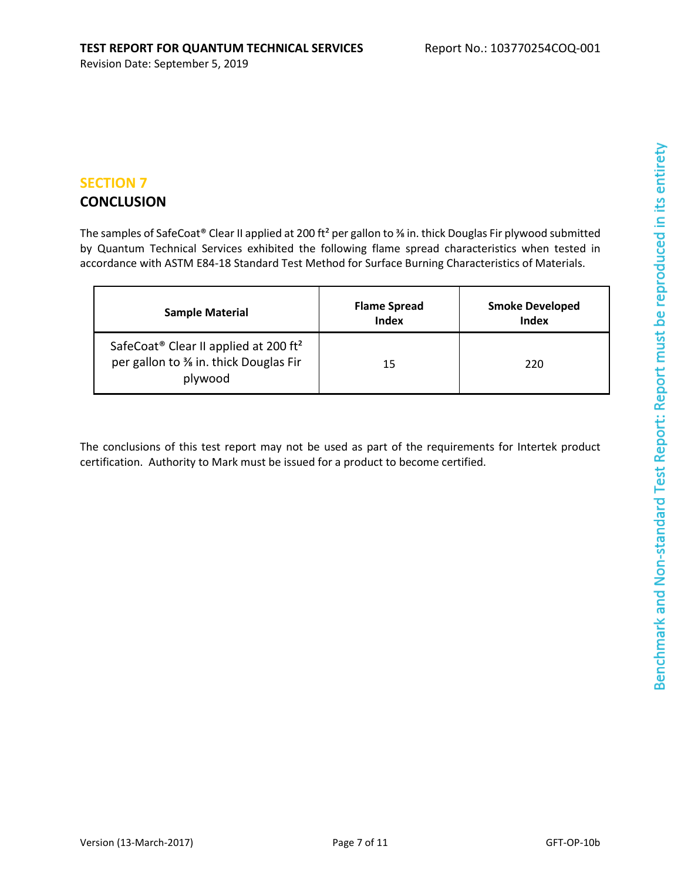#### **SECTION 7**

## **CONCLUSION**

The samples of SafeCoat® Clear II applied at 200 ft<sup>2</sup> per gallon to <sup>3</sup>/<sub>8</sub> in. thick Douglas Fir plywood submitted by Quantum Technical Services exhibited the following flame spread characteristics when tested in accordance with ASTM E84-18 Standard Test Method for Surface Burning Characteristics of Materials.

| <b>Sample Material</b>                                                                                            | <b>Flame Spread</b><br>Index | <b>Smoke Developed</b><br>Index |
|-------------------------------------------------------------------------------------------------------------------|------------------------------|---------------------------------|
| SafeCoat <sup>®</sup> Clear II applied at 200 ft <sup>2</sup><br>per gallon to % in. thick Douglas Fir<br>plywood | 15                           | 220                             |

The conclusions of this test report may not be used as part of the requirements for Intertek product certification. Authority to Mark must be issued for a product to become certified.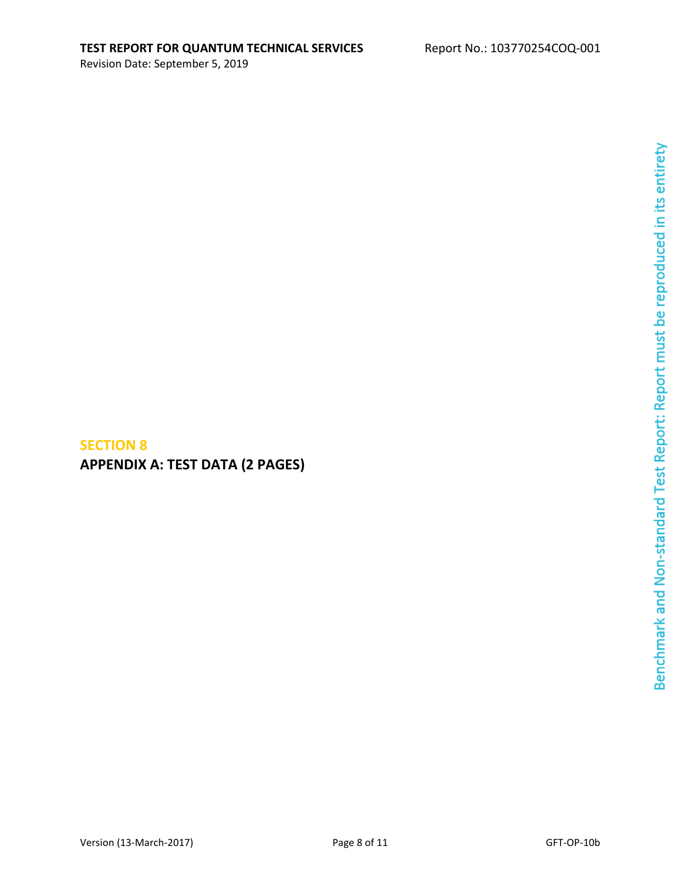## **SECTION 8 APPENDIX A: TEST DATA (2 PAGES)**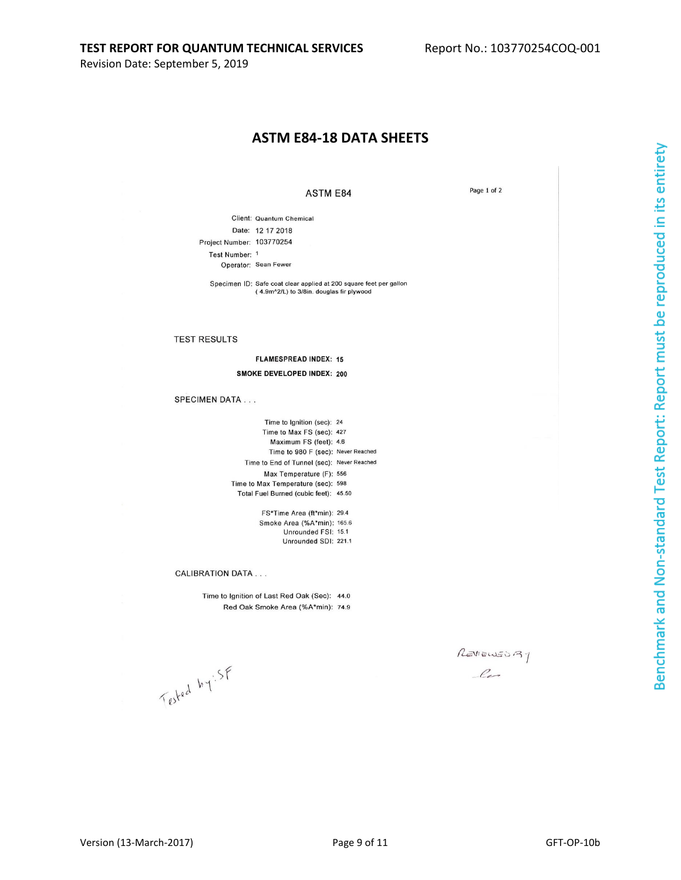#### **ASTM E84-18 DATA SHEETS**

**ASTM E84** 

Page 1 of 2

Client: Quantum Chemical Date: 12 17 2018 Project Number: 103770254 Test Number: 1 Operator: Sean Fewer

Specimen ID: Safe coat clear applied at 200 square feet per gallon (4.9m^2/L) to 3/8in. douglas fir plywood

#### **TEST RESULTS**

**FLAMESPREAD INDEX: 15 SMOKE DEVELOPED INDEX: 200** 

#### **SPECIMEN DATA...**

Time to Ignition (sec): 24 Time to Max FS (sec): 427 Maximum FS (feet): 4.6 Time to 980 F (sec): Never Reached Time to End of Tunnel (sec): Never Reached Max Temperature (F): 556 Time to Max Temperature (sec): 598 Total Fuel Burned (cubic feet): 45.50

> FS\*Time Area (ft\*min): 29.4 Smoke Area (%A\*min): 165.6 Unrounded FSI: 15.1 Unrounded SDI: 221.1

#### **CALIBRATION DATA...**

Time to Ignition of Last Red Oak (Sec): 44.0 Red Oak Smoke Area (%A\*min): 74.9

REVIEWED 37  $\ell$ 

Tested by SF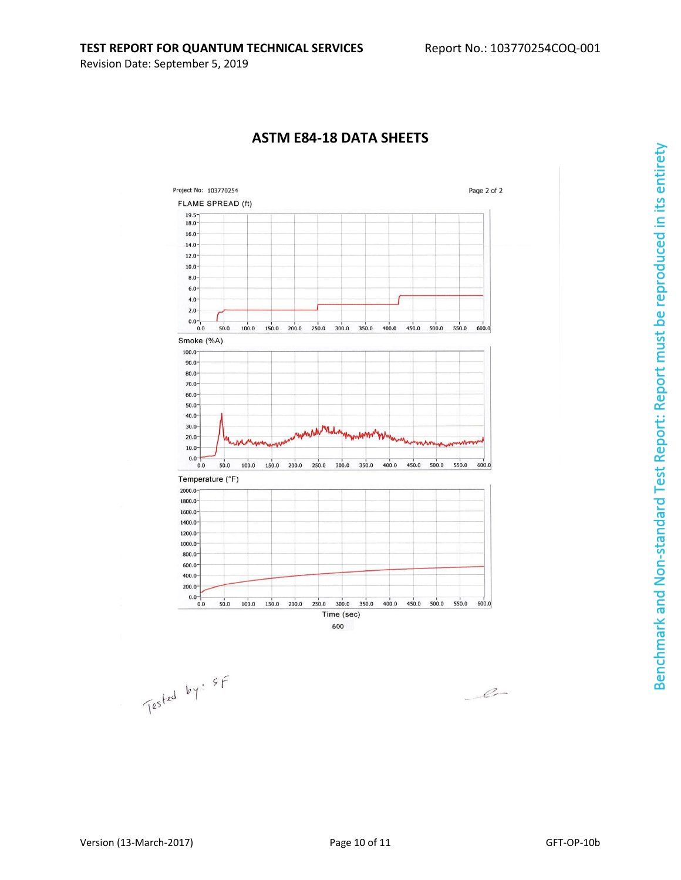

## **ASTM E84-18 DATA SHEETS**



Benchmark and Non-standard Test Report: Report must be reproduced in its entirety

 $\overbrace{\qquad \qquad \angle \qquad \qquad \angle \qquad \qquad }$